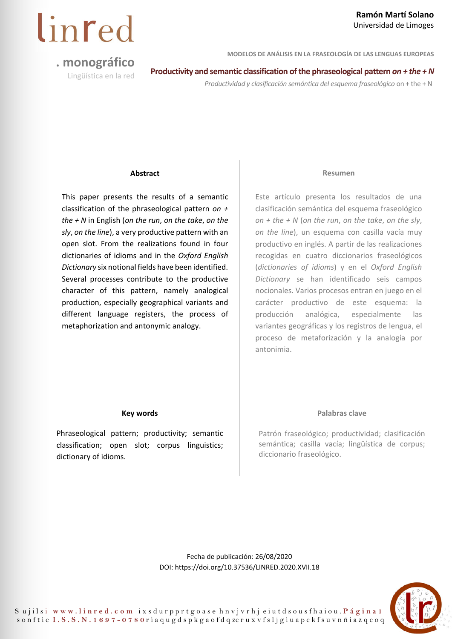#### **Ramón Martí Solano**  Universidad de Limoges

**MODELOS DE ANÁLISIS EN LA FRASEOLOGÍA DE LAS LENGUAS EUROPEAS** 

# linred

**. monográfico** 

**Productivity and semantic classification of the phraseological pattern** *on + the + N* **Lingüística en la red** 

*Productividad y clasificación semántica del esquema fraseológico* on + the + N

#### **Abstract**

This paper presents the results of a semantic classification of the phraseological pattern *on + the + N* in English (*on the run*, *on the take*, *on the sly*, *on the line*), a very productive pattern with an open slot. From the realizations found in four dictionaries of idioms and in the *Oxford English Dictionary* six notional fields have been identified. Several processes contribute to the productive character of this pattern, namely analogical production, especially geographical variants and different language registers, the process of metaphorization and antonymic analogy.

#### **Resumen**

Este artículo presenta los resultados de una clasificación semántica del esquema fraseológico *on + the + N* (*on the run*, *on the take*, *on the sly*, *on the line*), un esquema con casilla vacía muy productivo en inglés. A partir de las realizaciones recogidas en cuatro diccionarios fraseológicos (*dictionaries of idioms*) y en el *Oxford English Dictionary* se han identificado seis campos nocionales. Varios procesos entran en juego en el carácter productivo de este esquema: la producción analógica, especialmente las variantes geográficas y los registros de lengua, el proceso de metaforización y la analogía por antonimia.

#### **Key words**

Phraseological pattern; productivity; semantic classification; open slot; corpus linguistics; dictionary of idioms.

#### **Palabras clave**

Patrón fraseológico; productividad; clasificación semántica; casilla vacía; lingüística de corpus; diccionario fraseológico.

Fecha de publicación: 26/08/2020 DOI[: https://doi.org/10.37536/LINRED.2020.XVII.18](https://doi.org/10.37536/LINRED.2020.XVII.18)

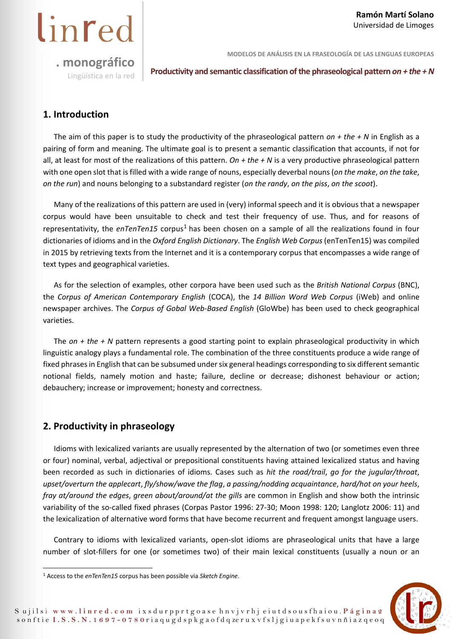

**Productivity and semantic classification of the phraseological pattern** *on + the + N* Lingüística en la red

#### **1. Introduction**

linred

The aim of this paper is to study the productivity of the phraseological pattern *on + the + N* in English as a pairing of form and meaning. The ultimate goal is to present a semantic classification that accounts, if not for all, at least for most of the realizations of this pattern. *On + the + N* is a very productive phraseological pattern with one open slot that is filled with a wide range of nouns, especially deverbal nouns (*on the make*, *on the take*, *on the run*) and nouns belonging to a substandard register (*on the randy*, *on the piss*, *on the scoot*).

Many of the realizations of this pattern are used in (very) informal speech and it is obvious that a newspaper corpus would have been unsuitable to check and test their frequency of use. Thus, and for reasons of representativity, the *enTenTen15* corpus<sup>1</sup> has been chosen on a sample of all the realizations found in four dictionaries of idioms and in the *Oxford English Dictionary*. The *English Web Corpus* (enTenTen15) was compiled in 2015 by retrieving texts from the Internet and it is a contemporary corpus that encompasses a wide range of text types and geographical varieties.

As for the selection of examples, other corpora have been used such as the *British National Corpus* (BNC), the *Corpus of American Contemporary English* (COCA), the *14 Billion Word Web Corpus* (iWeb) and online newspaper archives. The *Corpus of Gobal Web-Based English* (GloWbe) has been used to check geographical varieties.

The *on + the + N* pattern represents a good starting point to explain phraseological productivity in which linguistic analogy plays a fundamental role. The combination of the three constituents produce a wide range of fixed phrases in English that can be subsumed under six general headings corresponding to six different semantic notional fields, namely motion and haste; failure, decline or decrease; dishonest behaviour or action; debauchery; increase or improvement; honesty and correctness.

#### **2. Productivity in phraseology**

Idioms with lexicalized variants are usually represented by the alternation of two (or sometimes even three or four) nominal, verbal, adjectival or prepositional constituents having attained lexicalized status and having been recorded as such in dictionaries of idioms. Cases such as *hit the road/trail*, *go for the jugular/throat*, *upset/overturn the applecart*, *fly/show/wave the flag*, *a passing/nodding acquaintance*, *hard/hot on your heels*, *fray at/around the edges*, *green about/around/at the gills* are common in English and show both the intrinsic variability of the so-called fixed phrases (Corpas Pastor 1996: 27-30; Moon 1998: 120; Langlotz 2006: 11) and the lexicalization of alternative word forms that have become recurrent and frequent amongst language users.

Contrary to idioms with lexicalized variants, open-slot idioms are phraseological units that have a large number of slot-fillers for one (or sometimes two) of their main lexical constituents (usually a noun or an



<sup>1</sup> Access to the *enTenTen15* corpus has been possible via *Sketch Engine*.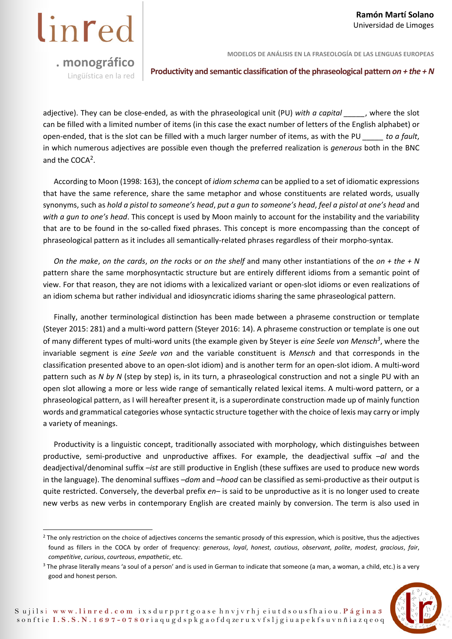**MODELOS DE ANÁLISIS EN LA FRASEOLOGÍA DE LAS LENGUAS EUROPEAS** 

**Productivity and semantic classification of the phraseological pattern** *on + the + N* **Lingüística en la red** 

adjective). They can be close-ended, as with the phraseological unit (PU) *with a capital \_\_\_\_\_*, where the slot can be filled with a limited number of items (in this case the exact number of letters of the English alphabet) or open-ended, that is the slot can be filled with a much larger number of items, as with the PU *\_\_\_\_\_ to a fault*, in which numerous adjectives are possible even though the preferred realization is *generous* both in the BNC and the COCA<sup>2</sup>.

According to Moon (1998: 163), the concept of *idiom schema* can be applied to a set of idiomatic expressions that have the same reference, share the same metaphor and whose constituents are related words, usually synonyms, such as *hold a pistol to someone's head*, *put a gun to someone's head*, *feel a pistol at one's head* and *with a gun to one's head*. This concept is used by Moon mainly to account for the instability and the variability that are to be found in the so-called fixed phrases. This concept is more encompassing than the concept of phraseological pattern as it includes all semantically-related phrases regardless of their morpho-syntax.

*On the make*, *on the cards*, *on the rocks* or *on the shelf* and many other instantiations of the *on + the + N* pattern share the same morphosyntactic structure but are entirely different idioms from a semantic point of view. For that reason, they are not idioms with a lexicalized variant or open-slot idioms or even realizations of an idiom schema but rather individual and idiosyncratic idioms sharing the same phraseological pattern.

Finally, another terminological distinction has been made between a phraseme construction or template (Steyer 2015: 281) and a multi-word pattern (Steyer 2016: 14). A phraseme construction or template is one out of many different types of multi-word units (the example given by Steyer is *eine Seele von Mensch3*, where the invariable segment is *eine Seele von* and the variable constituent is *Mensch* and that corresponds in the classification presented above to an open-slot idiom) and is another term for an open-slot idiom. A multi-word pattern such as *N by N* (step by step) is, in its turn, a phraseological construction and not a single PU with an open slot allowing a more or less wide range of semantically related lexical items. A multi-word pattern, or a phraseological pattern, as I will hereafter present it, is a superordinate construction made up of mainly function words and grammatical categories whose syntactic structure together with the choice of lexis may carry or imply a variety of meanings.

Productivity is a linguistic concept, traditionally associated with morphology, which distinguishes between productive, semi-productive and unproductive affixes. For example, the deadjectival suffix *–al* and the deadjectival/denominal suffix *–ist* are still productive in English (these suffixes are used to produce new words in the language). The denominal suffixes *–dom* and *–hood* can be classified as semi-productive as their output is quite restricted. Conversely, the deverbal prefix *en–* is said to be unproductive as it is no longer used to create new verbs as new verbs in contemporary English are created mainly by conversion. The term is also used in

 $3$  The phrase literally means 'a soul of a person' and is used in German to indicate that someone (a man, a woman, a child, etc.) is a very good and honest person.



<sup>&</sup>lt;sup>2</sup> The only restriction on the choice of adjectives concerns the semantic prosody of this expression, which is positive, thus the adjectives found as fillers in the COCA by order of frequency: *generous*, *loyal*, *honest*, *cautious*, *observant*, *polite*, *modest*, *gracious*, *fair*, *competitive*, *curious*, *courteous*, *empathetic*, etc.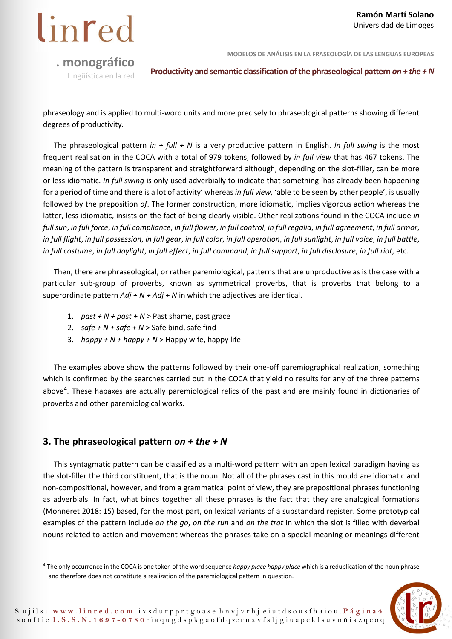linred

**MODELOS DE ANÁLISIS EN LA FRASEOLOGÍA DE LAS LENGUAS EUROPEAS** 

**Productivity and semantic classification of the phraseological pattern** *on + the + N* Lingüística en la red

phraseology and is applied to multi-word units and more precisely to phraseological patterns showing different degrees of productivity.

The phraseological pattern *in + full + N* is a very productive pattern in English. *In full swing* is the most frequent realisation in the COCA with a total of 979 tokens, followed by *in full view* that has 467 tokens. The meaning of the pattern is transparent and straightforward although, depending on the slot-filler, can be more or less idiomatic. *In full swing* is only used adverbially to indicate that something 'has already been happening for a period of time and there is a lot of activity' whereas *in full view,* 'able to be seen by other people', is usually followed by the preposition *of*. The former construction, more idiomatic, implies vigorous action whereas the latter, less idiomatic, insists on the fact of being clearly visible. Other realizations found in the COCA include *in full sun*, *in full force*, *in full compliance*, *in full flower*, *in full control*, *in full regalia*, *in full agreement*, *in full armor*, *in full flight*, *in full possession*, *in full gear*, *in full color*, *in full operation*, *in full sunlight*, *in full voice*, *in full battle*, *in full costume*, *in full daylight*, *in full effect*, *in full command*, *in full support*, *in full disclosure*, *in full riot*, etc.

Then, there are phraseological, or rather paremiological, patterns that are unproductive as is the case with a particular sub-group of proverbs, known as symmetrical proverbs, that is proverbs that belong to a superordinate pattern *Adj + N + Adj + N* in which the adjectives are identical.

- 1.  $past + N + past + N >$  Past shame, past grace
- 2.  $\textit{safe} + N + \textit{safe} + N > \textit{Safe}$  bind, safe find
- 3. *happy + N + happy + N* > Happy wife, happy life

The examples above show the patterns followed by their one-off paremiographical realization, something which is confirmed by the searches carried out in the COCA that yield no results for any of the three patterns above4. These hapaxes are actually paremiological relics of the past and are mainly found in dictionaries of proverbs and other paremiological works.

#### **3. The phraseological pattern** *on + the + N*

This syntagmatic pattern can be classified as a multi-word pattern with an open lexical paradigm having as the slot-filler the third constituent, that is the noun. Not all of the phrases cast in this mould are idiomatic and non-compositional, however, and from a grammatical point of view, they are prepositional phrases functioning as adverbials. In fact, what binds together all these phrases is the fact that they are analogical formations (Monneret 2018: 15) based, for the most part, on lexical variants of a substandard register. Some prototypical examples of the pattern include *on the go*, *on the run* and *on the trot* in which the slot is filled with deverbal nouns related to action and movement whereas the phrases take on a special meaning or meanings different

<sup>4</sup> The only occurrence in the COCA is one token of the word sequence *happy place happy place* which is a reduplication of the noun phrase and therefore does not constitute a realization of the paremiological pattern in question.

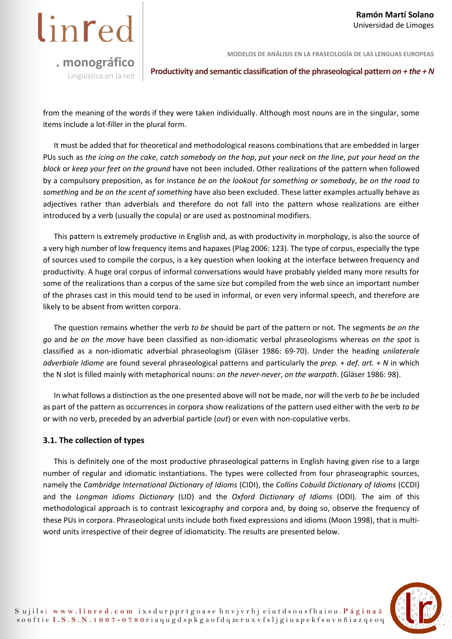

**MODELOS DE ANÁLISIS EN LA FRASEOLOGÍA DE LAS LENGUAS EUROPEAS** 

**Productivity and semantic classification of the phraseological pattern** *on + the + N* Lingüística en la red

from the meaning of the words if they were taken individually. Although most nouns are in the singular, some items include a lot-filler in the plural form.

It must be added that for theoretical and methodological reasons combinations that are embedded in larger PUs such as *the icing on the cake*, *catch somebody on the hop*, *put your neck on the line*, *put your head on the block* or *keep your feet on the ground* have not been included. Other realizations of the pattern when followed by a compulsory preposition, as for instance *be on the lookout for something or somebody*, *be on the road to something* and *be on the scent of something* have also been excluded. These latter examples actually behave as adjectives rather than adverbials and therefore do not fall into the pattern whose realizations are either introduced by a verb (usually the copula) or are used as postnominal modifiers.

This pattern is extremely productive in English and, as with productivity in morphology, is also the source of a very high number of low frequency items and hapaxes (Plag 2006: 123). The type of corpus, especially the type of sources used to compile the corpus, is a key question when looking at the interface between frequency and productivity. A huge oral corpus of informal conversations would have probably yielded many more results for some of the realizations than a corpus of the same size but compiled from the web since an important number of the phrases cast in this mould tend to be used in informal, or even very informal speech, and therefore are likely to be absent from written corpora.

The question remains whether the verb *to be* should be part of the pattern or not. The segments *be on the go* and *be on the move* have been classified as non-idiomatic verbal phraseologisms whereas *on the spot* is classified as a non-idiomatic adverbial phraseologism (Gläser 1986: 69-70). Under the heading *unilaterale adverbiale Idiome* are found several phraseological patterns and particularly the *prep. + def. art. + N* in which the N slot is filled mainly with metaphorical nouns: *on the never-never*, *on the warpath*. (Gläser 1986: 98).

In what follows a distinction as the one presented above will not be made, nor will the verb *to be* be included as part of the pattern as occurrences in corpora show realizations of the pattern used either with the verb *to be* or with no verb, preceded by an adverbial particle (*out*) or even with non-copulative verbs.

#### **3.1. The collection of types**

This is definitely one of the most productive phraseological patterns in English having given rise to a large number of regular and idiomatic instantiations. The types were collected from four phraseographic sources, namely the *Cambridge International Dictionary of Idioms* (CIDI), the *Collins Cobuild Dictionary of Idioms* (CCDI) and the *Longman Idioms Dictionary* (LID) and the *Oxford Dictionary of Idioms* (ODI). The aim of this methodological approach is to contrast lexicography and corpora and, by doing so, observe the frequency of these PUs in corpora. Phraseological units include both fixed expressions and idioms (Moon 1998), that is multiword units irrespective of their degree of idiomaticity. The results are presented below.

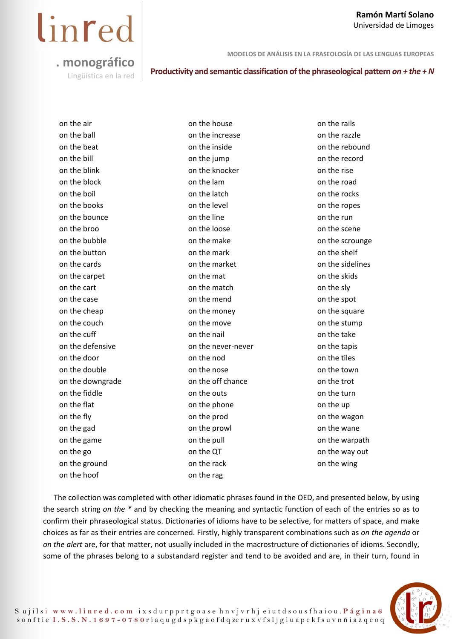#### **Ramón Martí Solano**  Universidad de Limoges

# linred

**. monográfico** 

**MODELOS DE ANÁLISIS EN LA FRASEOLOGÍA DE LAS LENGUAS EUROPEAS** 

**Productivity and semantic classification of the phraseological pattern** *on + the + N* Lingüística en la red

on the air on the ball on the beat on the bill on the blink on the block on the boil on the books on the bounce on the broo on the bubble on the button on the cards on the carpet on the cart on the case on the cheap on the couch on the cuff on the defensive on the door on the double on the downgrade on the fiddle on the flat on the fly on the gad on the game on the go on the ground on the hoof on the house on the increase on the inside on the jump on the knocker on the lam on the latch on the level on the line on the loose on the make on the mark on the market on the mat on the match on the mend on the money on the move on the nail on the never-never on the nod on the nose on the off chance on the outs on the phone on the prod on the prowl on the pull on the QT on the rack on the rag

on the rails on the razzle on the rebound on the record on the rise on the road on the rocks on the ropes on the run on the scene on the scrounge on the shelf on the sidelines on the skids on the sly on the spot on the square on the stump on the take on the tapis on the tiles on the town on the trot on the turn on the up on the wagon on the wane on the warpath on the way out on the wing

The collection was completed with other idiomatic phrases found in the OED, and presented below, by using the search string *on the \** and by checking the meaning and syntactic function of each of the entries so as to confirm their phraseological status. Dictionaries of idioms have to be selective, for matters of space, and make choices as far as their entries are concerned. Firstly, highly transparent combinations such as *on the agenda* or *on the alert* are, for that matter, not usually included in the macrostructure of dictionaries of idioms. Secondly, some of the phrases belong to a substandard register and tend to be avoided and are, in their turn, found in

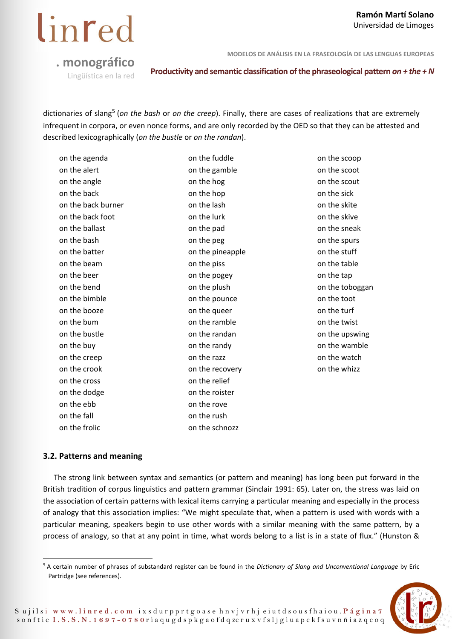linred

**MODELOS DE ANÁLISIS EN LA FRASEOLOGÍA DE LAS LENGUAS EUROPEAS** 

**Productivity and semantic classification of the phraseological pattern** *on + the + N* Lingüística en la red

dictionaries of slang5 (*on the bash* or *on the creep*). Finally, there are cases of realizations that are extremely infrequent in corpora, or even nonce forms, and are only recorded by the OED so that they can be attested and described lexicographically (*on the bustle* or *on the randan*).

| on the agenda      | on the fuddle    | on the scoop    |
|--------------------|------------------|-----------------|
| on the alert       | on the gamble    | on the scoot    |
| on the angle       | on the hog       | on the scout    |
| on the back        | on the hop       | on the sick     |
| on the back burner | on the lash      | on the skite    |
| on the back foot   | on the lurk      | on the skive    |
| on the ballast     | on the pad       | on the sneak    |
| on the bash        | on the peg       | on the spurs    |
| on the batter      | on the pineapple | on the stuff    |
| on the beam        | on the piss      | on the table    |
| on the beer        | on the pogey     | on the tap      |
| on the bend        | on the plush     | on the toboggan |
| on the bimble      | on the pounce    | on the toot     |
| on the booze       | on the queer     | on the turf     |
| on the bum         | on the ramble    | on the twist    |
| on the bustle      | on the randan    | on the upswing  |
| on the buy         | on the randy     | on the wamble   |
| on the creep       | on the razz      | on the watch    |
| on the crook       | on the recovery  | on the whizz    |
| on the cross       | on the relief    |                 |
| on the dodge       | on the roister   |                 |
| on the ebb         | on the rove      |                 |
| on the fall        | on the rush      |                 |
| on the frolic      | on the schnozz   |                 |

#### **3.2. Patterns and meaning**

The strong link between syntax and semantics (or pattern and meaning) has long been put forward in the British tradition of corpus linguistics and pattern grammar (Sinclair 1991: 65). Later on, the stress was laid on the association of certain patterns with lexical items carrying a particular meaning and especially in the process of analogy that this association implies: "We might speculate that, when a pattern is used with words with a particular meaning, speakers begin to use other words with a similar meaning with the same pattern, by a process of analogy, so that at any point in time, what words belong to a list is in a state of flux." (Hunston &

<sup>5</sup> A certain number of phrases of substandard register can be found in the *Dictionary of Slang and Unconventional Language* by Eric Partridge (see references).

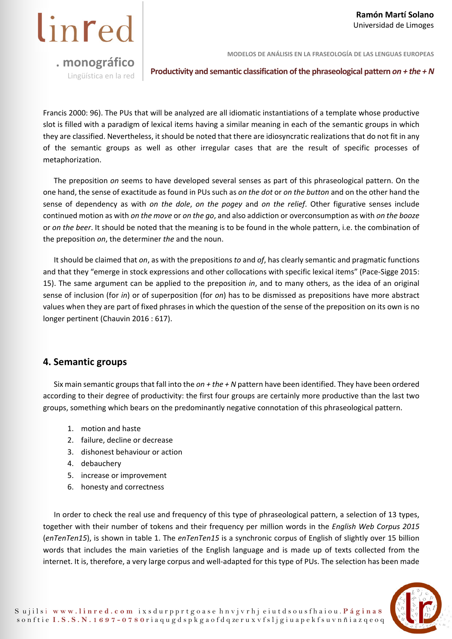**MODELOS DE ANÁLISIS EN LA FRASEOLOGÍA DE LAS LENGUAS EUROPEAS** 

**Productivity and semantic classification of the phraseological pattern** *on + the + N* **Lingüística en la red** 

Francis 2000: 96). The PUs that will be analyzed are all idiomatic instantiations of a template whose productive slot is filled with a paradigm of lexical items having a similar meaning in each of the semantic groups in which they are classified. Nevertheless, it should be noted that there are idiosyncratic realizations that do not fit in any of the semantic groups as well as other irregular cases that are the result of specific processes of metaphorization.

The preposition *on* seems to have developed several senses as part of this phraseological pattern. On the one hand, the sense of exactitude as found in PUs such as *on the dot* or *on the button* and on the other hand the sense of dependency as with *on the dole*, *on the pogey* and *on the relief*. Other figurative senses include continued motion as with *on the move* or *on the go*, and also addiction or overconsumption as with *on the booze* or *on the beer*. It should be noted that the meaning is to be found in the whole pattern, i.e. the combination of the preposition *on*, the determiner *the* and the noun.

It should be claimed that *on*, as with the prepositions *to* and *of*, has clearly semantic and pragmatic functions and that they "emerge in stock expressions and other collocations with specific lexical items" (Pace-Sigge 2015: 15). The same argument can be applied to the preposition *in*, and to many others, as the idea of an original sense of inclusion (for *in*) or of superposition (for *on*) has to be dismissed as prepositions have more abstract values when they are part of fixed phrases in which the question of the sense of the preposition on its own is no longer pertinent (Chauvin 2016 : 617).

#### **4. Semantic groups**

Six main semantic groups that fall into the *on + the + N* pattern have been identified. They have been ordered according to their degree of productivity: the first four groups are certainly more productive than the last two groups, something which bears on the predominantly negative connotation of this phraseological pattern.

- 1. motion and haste
- 2. failure, decline or decrease
- 3. dishonest behaviour or action
- 4. debauchery
- 5. increase or improvement
- 6. honesty and correctness

In order to check the real use and frequency of this type of phraseological pattern, a selection of 13 types, together with their number of tokens and their frequency per million words in the *English Web Corpus 2015* (*enTenTen15*), is shown in table 1. The *enTenTen15* is a synchronic corpus of English of slightly over 15 billion words that includes the main varieties of the English language and is made up of texts collected from the internet. It is, therefore, a very large corpus and well-adapted for this type of PUs. The selection has been made

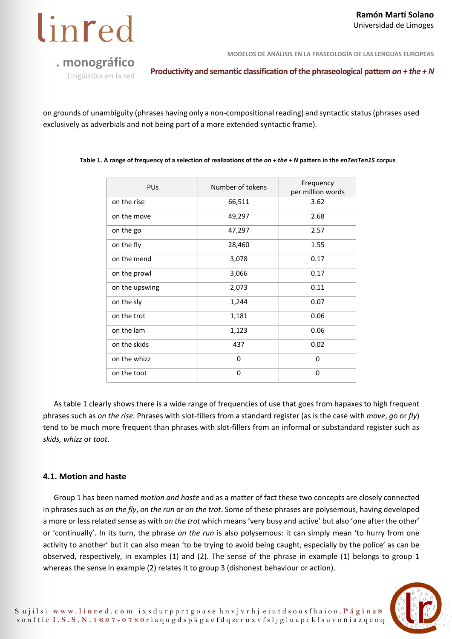

**MODELOS DE ANÁLISIS EN LA FRASEOLOGÍA DE LAS LENGUAS EUROPEAS** 

**Productivity and semantic classification of the phraseological pattern** *on + the + N* Lingüística en la red

on grounds of unambiguity (phrases having only a non-compositional reading) and syntactic status (phrases used exclusively as adverbials and not being part of a more extended syntactic frame).

**Table 1. A range of frequency of a selection of realizations of the** *on + the + N* **pattern in the** *enTenTen15* **corpus** 

| <b>PUs</b>     | Number of tokens | Frequency<br>per million words |
|----------------|------------------|--------------------------------|
| on the rise    | 66,511           | 3.62                           |
| on the move    | 49,297           | 2.68                           |
| on the go      | 47,297           | 2.57                           |
| on the fly     | 28,460           | 1.55                           |
| on the mend    | 3,078            | 0.17                           |
| on the prowl   | 3,066            | 0.17                           |
| on the upswing | 2,073            | 0.11                           |
| on the sly     | 1,244            | 0.07                           |
| on the trot    | 1,181            | 0.06                           |
| on the lam     | 1,123            | 0.06                           |
| on the skids   | 437              | 0.02                           |
| on the whizz   | $\Omega$         | 0                              |
| on the toot    | 0                | 0                              |

As table 1 clearly shows there is a wide range of frequencies of use that goes from hapaxes to high frequent phrases such as *on the rise*. Phrases with slot-fillers from a standard register (as is the case with *move*, *go* or *fly*) tend to be much more frequent than phrases with slot-fillers from an informal or substandard register such as *skids, whizz* or *toot*.

#### **4.1. Motion and haste**

Group 1 has been named *motion and haste* and as a matter of fact these two concepts are closely connected in phrases such as *on the fly*, *on the run* or *on the trot*. Some of these phrases are polysemous, having developed a more or less related sense as with *on the trot* which means 'very busy and active' but also 'one after the other' or 'continually'. In its turn, the phrase *on the run* is also polysemous: it can simply mean 'to hurry from one activity to another' but it can also mean 'to be trying to avoid being caught, especially by the police' as can be observed, respectively, in examples (1) and (2). The sense of the phrase in example (1) belongs to group 1 whereas the sense in example (2) relates it to group 3 (dishonest behaviour or action).

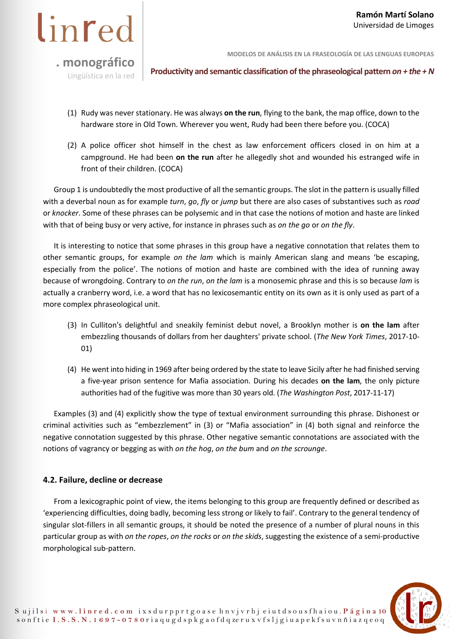

**Productivity and semantic classification of the phraseological pattern** *on + the + N* **Lingüística en la red** 

- (1) Rudy was never stationary. He was always **on the run**, flying to the bank, the map office, down to the hardware store in Old Town. Wherever you went, Rudy had been there before you. (COCA)
- (2) A police officer shot himself in the chest as law enforcement officers closed in on him at a campground. He had been **on the run** after he allegedly shot and wounded his estranged wife in front of their children. (COCA)

Group 1 is undoubtedly the most productive of all the semantic groups. The slot in the pattern is usually filled with a deverbal noun as for example *turn*, *go*, *fly* or *jump* but there are also cases of substantives such as *road* or *knocker*. Some of these phrases can be polysemic and in that case the notions of motion and haste are linked with that of being busy or very active, for instance in phrases such as *on the go* or *on the fly*.

It is interesting to notice that some phrases in this group have a negative connotation that relates them to other semantic groups, for example *on the lam* which is mainly American slang and means 'be escaping, especially from the police'. The notions of motion and haste are combined with the idea of running away because of wrongdoing. Contrary to *on the run*, *on the lam* is a monosemic phrase and this is so because *lam* is actually a cranberry word, i.e. a word that has no lexicosemantic entity on its own as it is only used as part of a more complex phraseological unit.

- (3) In Culliton's delightful and sneakily feminist debut novel, a Brooklyn mother is **on the lam** after embezzling thousands of dollars from her daughters' private school. (*The New York Times*, 2017-10- 01)
- (4) He went into hiding in 1969 after being ordered by the state to leave Sicily after he had finished serving a five-year prison sentence for Mafia association. During his decades **on the lam**, the only picture authorities had of the fugitive was more than 30 years old. (*The Washington Post*, 2017-11-17)

Examples (3) and (4) explicitly show the type of textual environment surrounding this phrase. Dishonest or criminal activities such as "embezzlement" in (3) or "Mafia association" in (4) both signal and reinforce the negative connotation suggested by this phrase. Other negative semantic connotations are associated with the notions of vagrancy or begging as with *on the hog*, *on the bum* and *on the scrounge*.

#### **4.2. Failure, decline or decrease**

From a lexicographic point of view, the items belonging to this group are frequently defined or described as 'experiencing difficulties, doing badly, becoming less strong or likely to fail'. Contrary to the general tendency of singular slot-fillers in all semantic groups, it should be noted the presence of a number of plural nouns in this particular group as with *on the ropes*, *on the rocks* or *on the skids*, suggesting the existence of a semi-productive morphological sub-pattern.

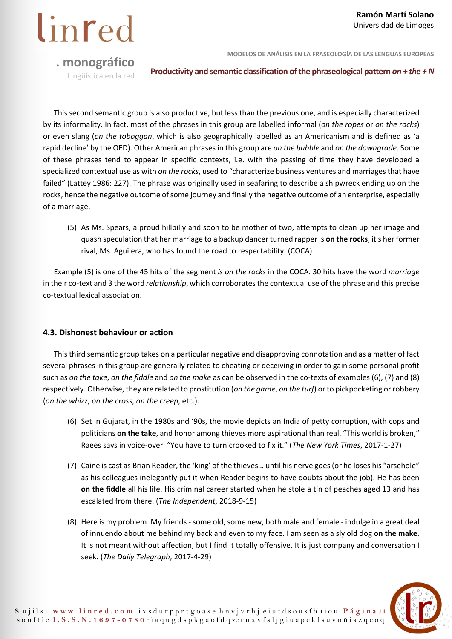**MODELOS DE ANÁLISIS EN LA FRASEOLOGÍA DE LAS LENGUAS EUROPEAS** 

**Productivity and semantic classification of the phraseological pattern** *on + the + N* **Lingüística en la red** 

This second semantic group is also productive, but less than the previous one, and is especially characterized by its informality. In fact, most of the phrases in this group are labelled informal (*on the ropes* or *on the rocks*) or even slang (*on the toboggan*, which is also geographically labelled as an Americanism and is defined as 'a rapid decline' by the OED). Other American phrases in this group are *on the bubble* and *on the downgrade*. Some of these phrases tend to appear in specific contexts, i.e. with the passing of time they have developed a specialized contextual use as with *on the rocks*, used to "characterize business ventures and marriages that have failed" (Lattey 1986: 227). The phrase was originally used in seafaring to describe a shipwreck ending up on the rocks, hence the negative outcome of some journey and finally the negative outcome of an enterprise, especially of a marriage.

(5) As Ms. Spears, a proud hillbilly and soon to be mother of two, attempts to clean up her image and quash speculation that her marriage to a backup dancer turned rapper is **on the rocks**, it's her former rival, Ms. Aguilera, who has found the road to respectability. (COCA)

Example (5) is one of the 45 hits of the segment *is on the rocks* in the COCA. 30 hits have the word *marriage* in their co-text and 3 the word *relationship*, which corroborates the contextual use of the phrase and this precise co-textual lexical association.

#### **4.3. Dishonest behaviour or action**

This third semantic group takes on a particular negative and disapproving connotation and as a matter of fact several phrases in this group are generally related to cheating or deceiving in order to gain some personal profit such as *on the take*, *on the fiddle* and *on the make* as can be observed in the co-texts of examples (6), (7) and (8) respectively. Otherwise, they are related to prostitution (*on the game*, *on the turf*) or to pickpocketing or robbery (*on the whizz*, *on the cross*, *on the creep*, etc.).

- (6) Set in Gujarat, in the 1980s and '90s, the movie depicts an India of petty corruption, with cops and politicians **on the take**, and honor among thieves more aspirational than real. "This world is broken," Raees says in voice-over. "You have to turn crooked to fix it." (*The New York Times*, 2017-1-27)
- (7) Caine is cast as Brian Reader, the 'king' of the thieves… until his nerve goes (or he loses his "arsehole" as his colleagues inelegantly put it when Reader begins to have doubts about the job). He has been **on the fiddle** all his life. His criminal career started when he stole a tin of peaches aged 13 and has escalated from there. (*The Independent*, 2018-9-15)
- (8) Here is my problem. My friends some old, some new, both male and female indulge in a great deal of innuendo about me behind my back and even to my face. I am seen as a sly old dog **on the make**. It is not meant without affection, but I find it totally offensive. It is just company and conversation I seek. (*The Daily Telegraph*, 2017-4-29)

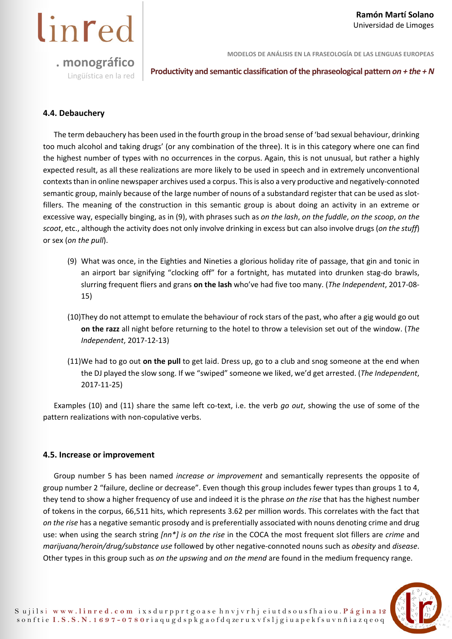**MODELOS DE ANÁLISIS EN LA FRASEOLOGÍA DE LAS LENGUAS EUROPEAS** 

**Productivity and semantic classification of the phraseological pattern** *on + the + N* **Lingüística en la red** 

#### **4.4. Debauchery**

linred

The term debauchery has been used in the fourth group in the broad sense of 'bad sexual behaviour, drinking too much alcohol and taking drugs' (or any combination of the three). It is in this category where one can find the highest number of types with no occurrences in the corpus. Again, this is not unusual, but rather a highly expected result, as all these realizations are more likely to be used in speech and in extremely unconventional contexts than in online newspaper archives used a corpus. This is also a very productive and negatively-connoted semantic group, mainly because of the large number of nouns of a substandard register that can be used as slotfillers. The meaning of the construction in this semantic group is about doing an activity in an extreme or excessive way, especially binging, as in (9), with phrases such as *on the lash*, *on the fuddle*, *on the scoop*, *on the scoot*, etc., although the activity does not only involve drinking in excess but can also involve drugs (*on the stuff*) or sex (*on the pull*).

- (9) What was once, in the Eighties and Nineties a glorious holiday rite of passage, that gin and tonic in an airport bar signifying "clocking off" for a fortnight, has mutated into drunken stag-do brawls, slurring frequent fliers and grans **on the lash** who've had five too many. (*The Independent*, 2017-08- 15)
- (10)They do not attempt to emulate the behaviour of rock stars of the past, who after a gig would go out **on the razz** all night before returning to the hotel to throw a television set out of the window. (*The Independent*, 2017-12-13)
- (11)We had to go out **on the pull** to get laid. Dress up, go to a club and snog someone at the end when the DJ played the slow song. If we "swiped" someone we liked, we'd get arrested. (*The Independent*, 2017-11-25)

Examples (10) and (11) share the same left co-text, i.e. the verb *go out*, showing the use of some of the pattern realizations with non-copulative verbs.

#### **4.5. Increase or improvement**

Group number 5 has been named *increase or improvement* and semantically represents the opposite of group number 2 "failure, decline or decrease". Even though this group includes fewer types than groups 1 to 4, they tend to show a higher frequency of use and indeed it is the phrase *on the rise* that has the highest number of tokens in the corpus, 66,511 hits, which represents 3.62 per million words. This correlates with the fact that *on the rise* has a negative semantic prosody and is preferentially associated with nouns denoting crime and drug use: when using the search string *[nn\*] is on the rise* in the COCA the most frequent slot fillers are *crime* and *marijuana/heroin/drug/substance use* followed by other negative-connoted nouns such as *obesity* and *disease*. Other types in this group such as *on the upswing* and *on the mend* are found in the medium frequency range.

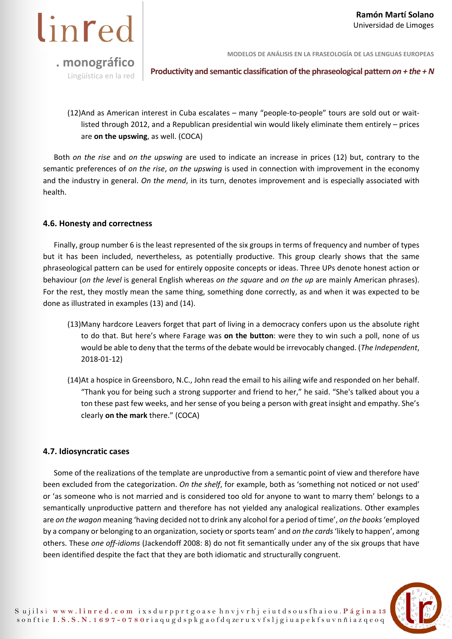

**Productivity and semantic classification of the phraseological pattern** *on + the + N* Lingüística en la red

(12)And as American interest in Cuba escalates – many "people-to-people" tours are sold out or waitlisted through 2012, and a Republican presidential win would likely eliminate them entirely – prices are **on the upswing**, as well. (COCA)

Both *on the rise* and *on the upswing* are used to indicate an increase in prices (12) but, contrary to the semantic preferences of *on the rise*, *on the upswing* is used in connection with improvement in the economy and the industry in general. *On the mend*, in its turn, denotes improvement and is especially associated with health.

#### **4.6. Honesty and correctness**

Finally, group number 6 is the least represented of the six groups in terms of frequency and number of types but it has been included, nevertheless, as potentially productive. This group clearly shows that the same phraseological pattern can be used for entirely opposite concepts or ideas. Three UPs denote honest action or behaviour (*on the level* is general English whereas *on the square* and *on the up* are mainly American phrases). For the rest, they mostly mean the same thing, something done correctly, as and when it was expected to be done as illustrated in examples (13) and (14).

- (13)Many hardcore Leavers forget that part of living in a democracy confers upon us the absolute right to do that. But here's where Farage was **on the button**: were they to win such a poll, none of us would be able to deny that the terms of the debate would be irrevocably changed. (*The Independent*, 2018-01-12)
- (14)At a hospice in Greensboro, N.C., John read the email to his ailing wife and responded on her behalf. "Thank you for being such a strong supporter and friend to her," he said. "She's talked about you a ton these past few weeks, and her sense of you being a person with great insight and empathy. She's clearly **on the mark** there." (COCA)

#### **4.7. Idiosyncratic cases**

Some of the realizations of the template are unproductive from a semantic point of view and therefore have been excluded from the categorization. *On the shelf*, for example, both as 'something not noticed or not used' or 'as someone who is not married and is considered too old for anyone to want to marry them' belongs to a semantically unproductive pattern and therefore has not yielded any analogical realizations. Other examples are *on the wagon* meaning 'having decided not to drink any alcohol for a period of time', *on the books* 'employed by a company or belonging to an organization, society or sports team' and *on the cards* 'likely to happen', among others. These *one off-idioms* (Jackendoff 2008: 8) do not fit semantically under any of the six groups that have been identified despite the fact that they are both idiomatic and structurally congruent.

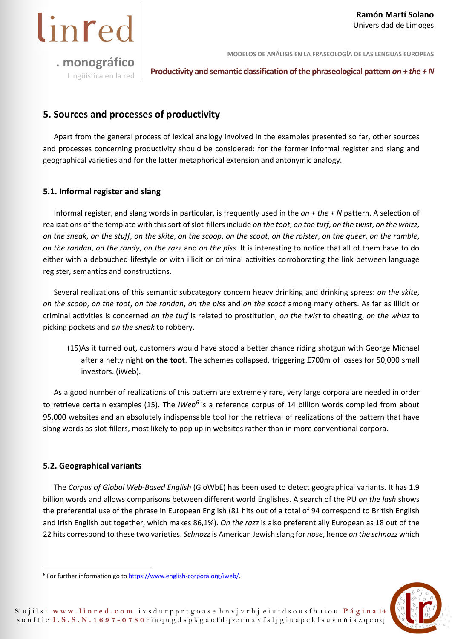linred

**MODELOS DE ANÁLISIS EN LA FRASEOLOGÍA DE LAS LENGUAS EUROPEAS** 

**Productivity and semantic classification of the phraseological pattern** *on + the + N* Lingüística en la red

#### **5. Sources and processes of productivity**

Apart from the general process of lexical analogy involved in the examples presented so far, other sources and processes concerning productivity should be considered: for the former informal register and slang and geographical varieties and for the latter metaphorical extension and antonymic analogy.

#### **5.1. Informal register and slang**

Informal register, and slang words in particular, is frequently used in the *on + the + N* pattern. A selection of realizations of the template with this sort of slot-fillers include *on the toot*, *on the turf*, *on the twist*, *on the whizz*, *on the sneak*, *on the stuff*, *on the skite*, *on the scoop*, *on the scoot*, *on the roister*, *on the queer*, *on the ramble*, *on the randan*, *on the randy*, *on the razz* and *on the piss*. It is interesting to notice that all of them have to do either with a debauched lifestyle or with illicit or criminal activities corroborating the link between language register, semantics and constructions.

Several realizations of this semantic subcategory concern heavy drinking and drinking sprees: *on the skite*, *on the scoop*, *on the toot*, *on the randan*, *on the piss* and *on the scoot* among many others. As far as illicit or criminal activities is concerned *on the turf* is related to prostitution, *on the twist* to cheating, *on the whizz* to picking pockets and *on the sneak* to robbery.

(15)As it turned out, customers would have stood a better chance riding shotgun with George Michael after a hefty night **on the toot**. The schemes collapsed, triggering £700m of losses for 50,000 small investors. (iWeb).

As a good number of realizations of this pattern are extremely rare, very large corpora are needed in order to retrieve certain examples (15). The *iWeb<sup>6</sup>* is a reference corpus of 14 billion words compiled from about 95,000 websites and an absolutely indispensable tool for the retrieval of realizations of the pattern that have slang words as slot-fillers, most likely to pop up in websites rather than in more conventional corpora.

#### **5.2. Geographical variants**

The *Corpus of Global Web-Based English* (GloWbE) has been used to detect geographical variants. It has 1.9 billion words and allows comparisons between different world Englishes. A search of the PU *on the lash* shows the preferential use of the phrase in European English (81 hits out of a total of 94 correspond to British English and Irish English put together, which makes 86,1%). *On the razz* is also preferentially European as 18 out of the 22 hits correspond to these two varieties. *Schnozz* is American Jewish slang for *nose*, hence *on the schnozz* which



<sup>&</sup>lt;sup>6</sup> For further information go to https://www.english-corpora.org/iweb/.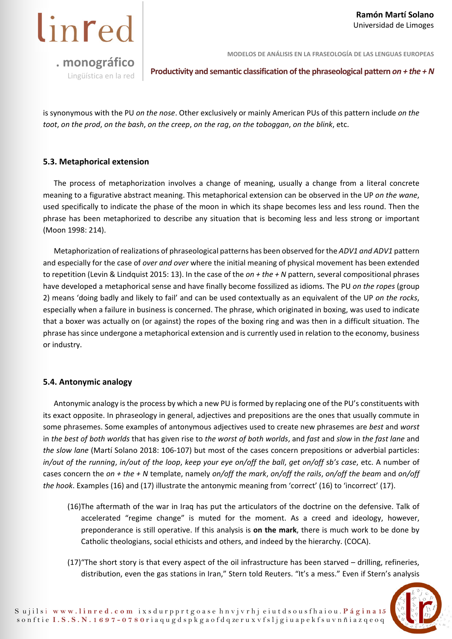

**MODELOS DE ANÁLISIS EN LA FRASEOLOGÍA DE LAS LENGUAS EUROPEAS** 

**Productivity and semantic classification of the phraseological pattern** *on + the + N* **Lingüística en la red** 

is synonymous with the PU *on the nose*. Other exclusively or mainly American PUs of this pattern include *on the toot*, *on the prod*, *on the bash*, *on the creep*, *on the rag*, *on the toboggan*, *on the blink*, etc.

#### **5.3. Metaphorical extension**

The process of metaphorization involves a change of meaning, usually a change from a literal concrete meaning to a figurative abstract meaning. This metaphorical extension can be observed in the UP *on the wane*, used specifically to indicate the phase of the moon in which its shape becomes less and less round. Then the phrase has been metaphorized to describe any situation that is becoming less and less strong or important (Moon 1998: 214).

Metaphorization of realizations of phraseological patterns has been observed for the *ADV1 and ADV1* pattern and especially for the case of *over and over* where the initial meaning of physical movement has been extended to repetition (Levin & Lindquist 2015: 13). In the case of the *on + the + N* pattern, several compositional phrases have developed a metaphorical sense and have finally become fossilized as idioms. The PU *on the ropes* (group 2) means 'doing badly and likely to fail' and can be used contextually as an equivalent of the UP *on the rocks*, especially when a failure in business is concerned. The phrase, which originated in boxing, was used to indicate that a boxer was actually on (or against) the ropes of the boxing ring and was then in a difficult situation. The phrase has since undergone a metaphorical extension and is currently used in relation to the economy, business or industry.

#### **5.4. Antonymic analogy**

Antonymic analogy is the process by which a new PU is formed by replacing one of the PU's constituents with its exact opposite. In phraseology in general, adjectives and prepositions are the ones that usually commute in some phrasemes. Some examples of antonymous adjectives used to create new phrasemes are *best* and *worst* in *the best of both worlds* that has given rise to *the worst of both worlds*, and *fast* and *slow* in *the fast lane* and *the slow lane* (Martí Solano 2018: 106-107) but most of the cases concern prepositions or adverbial particles: *in/out of the running*, *in/out of the loop*, *keep your eye on/off the ball*, *get on/off sb's case*, etc. A number of cases concern the *on + the + N* template, namely *on/off the mark*, *on/off the rails*, *on/off the beam* and *on/off the hook*. Examples (16) and (17) illustrate the antonymic meaning from 'correct' (16) to 'incorrect' (17).

- (16)The aftermath of the war in Iraq has put the articulators of the doctrine on the defensive. Talk of accelerated "regime change" is muted for the moment. As a creed and ideology, however, preponderance is still operative. If this analysis is **on the mark**, there is much work to be done by Catholic theologians, social ethicists and others, and indeed by the hierarchy. (COCA).
- (17)"The short story is that every aspect of the oil infrastructure has been starved drilling, refineries, distribution, even the gas stations in Iran," Stern told Reuters. "It's a mess." Even if Stern's analysis

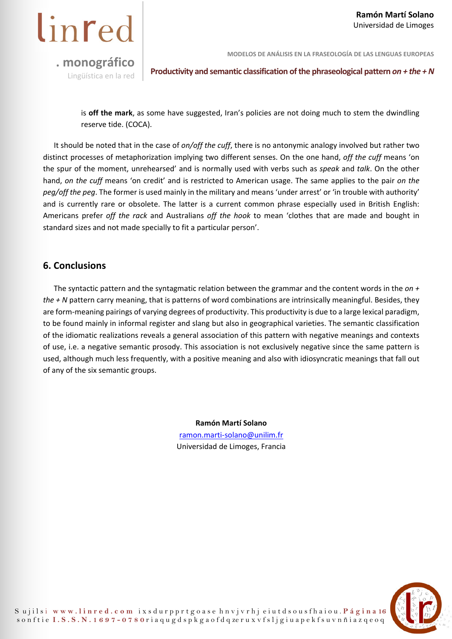

**Productivity and semantic classification of the phraseological pattern** *on + the + N* Lingüística en la red

is **off the mark**, as some have suggested, Iran's policies are not doing much to stem the dwindling reserve tide. (COCA).

It should be noted that in the case of *on/off the cuff*, there is no antonymic analogy involved but rather two distinct processes of metaphorization implying two different senses. On the one hand, *off the cuff* means 'on the spur of the moment, unrehearsed' and is normally used with verbs such as *speak* and *talk*. On the other hand, *on the cuff* means 'on credit' and is restricted to American usage. The same applies to the pair *on the peg/off the peg*. The former is used mainly in the military and means 'under arrest' or 'in trouble with authority' and is currently rare or obsolete. The latter is a current common phrase especially used in British English: Americans prefer *off the rack* and Australians *off the hook* to mean 'clothes that are made and bought in standard sizes and not made specially to fit a particular person'.

#### **6. Conclusions**

The syntactic pattern and the syntagmatic relation between the grammar and the content words in the *on + the + N* pattern carry meaning, that is patterns of word combinations are intrinsically meaningful. Besides, they are form-meaning pairings of varying degrees of productivity. This productivity is due to a large lexical paradigm, to be found mainly in informal register and slang but also in geographical varieties. The semantic classification of the idiomatic realizations reveals a general association of this pattern with negative meanings and contexts of use, i.e. a negative semantic prosody. This association is not exclusively negative since the same pattern is used, although much less frequently, with a positive meaning and also with idiosyncratic meanings that fall out of any of the six semantic groups.

> **Ramón Martí Solano**  ramon.marti-solano@unilim.fr Universidad de Limoges, Francia

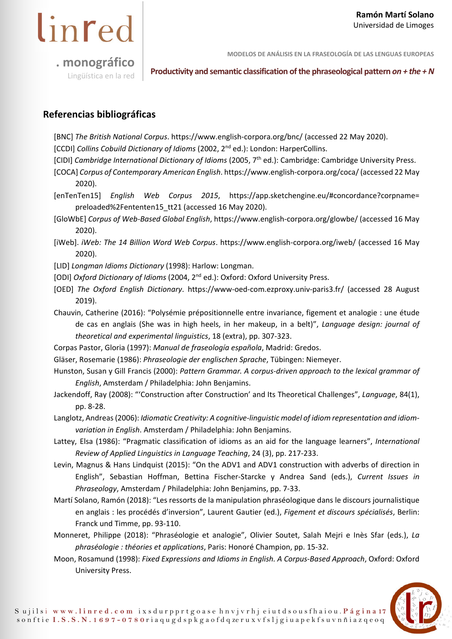

**MODELOS DE ANÁLISIS EN LA FRASEOLOGÍA DE LAS LENGUAS EUROPEAS** 

**Productivity and semantic classification of the phraseological pattern** *on + the + N* Lingüística en la red

#### **Referencias bibliográficas**

[BNC] *The British National Corpus*. https://www.english-corpora.org/bnc/ (accessed 22 May 2020).

[CCDI] *Collins Cobuild Dictionary of Idioms* (2002, 2<sup>nd</sup> ed.): London: HarperCollins.

[CIDI] *Cambridge International Dictionary of Idioms* (2005, 7<sup>th</sup> ed.): Cambridge: Cambridge University Press.

- [COCA] *Corpus of Contemporary American English*. https://www.english-corpora.org/coca/ (accessed 22 May 2020).
- [enTenTen15] *English Web Corpus 2015*, https://app.sketchengine.eu/#concordance?corpname= preloaded%2Fententen15\_tt21 (accessed 16 May 2020).
- [GloWbE] *Corpus of Web-Based Global English*, https://www.english-corpora.org/glowbe/ (accessed 16 May 2020).
- [iWeb]. *iWeb: The 14 Billion Word Web Corpus*. https://www.english-corpora.org/iweb/ (accessed 16 May 2020).

[LID] *Longman Idioms Dictionary* (1998): Harlow: Longman.

[ODI] *Oxford Dictionary of Idioms* (2004, 2nd ed.): Oxford: Oxford University Press.

[OED] *The Oxford English Dictionary*. https://www-oed-com.ezproxy.univ-paris3.fr/ (accessed 28 August 2019).

Chauvin, Catherine (2016): "Polysémie prépositionnelle entre invariance, figement et analogie : une étude de cas en anglais (She was in high heels, in her makeup, in a belt)", *Language design: journal of theoretical and experimental linguistics*, 18 (extra), pp. 307-323.

Corpas Pastor, Gloria (1997): *Manual de fraseología española*, Madrid: Gredos.

Gläser, Rosemarie (1986): *Phraseologie der englischen Sprache*, Tübingen: Niemeyer.

- Hunston, Susan y Gill Francis (2000): *Pattern Grammar. A corpus-driven approach to the lexical grammar of English*, Amsterdam / Philadelphia: John Benjamins.
- Jackendoff, Ray (2008): "'Construction after Construction' and Its Theoretical Challenges", *Language*, 84(1), pp. 8-28.
- Langlotz, Andreas (2006): *Idiomatic Creativity: A cognitive-linguistic model of idiom representation and idiomvariation in English*. Amsterdam / Philadelphia: John Benjamins.
- Lattey, Elsa (1986): "Pragmatic classification of idioms as an aid for the language learners", *International Review of Applied Linguistics in Language Teaching*, 24 (3), pp. 217-233.
- Levin, Magnus & Hans Lindquist (2015): "On the ADV1 and ADV1 construction with adverbs of direction in English", Sebastian Hoffman, Bettina Fischer-Starcke y Andrea Sand (eds.), *Current Issues in Phraseology*, Amsterdam / Philadelphia: John Benjamins, pp. 7-33.
- Martí Solano, Ramón (2018): "Les ressorts de la manipulation phraséologique dans le discours journalistique en anglais : les procédés d'inversion", Laurent Gautier (ed.), *Figement et discours spécialisés*, Berlin: Franck und Timme, pp. 93-110.
- Monneret, Philippe (2018): "Phraséologie et analogie", Olivier Soutet, Salah Mejri e Inès Sfar (eds.), *La phraséologie : théories et applications*, Paris: Honoré Champion, pp. 15-32.
- Moon, Rosamund (1998): *Fixed Expressions and Idioms in English. A Corpus-Based Approach*, Oxford: Oxford University Press.